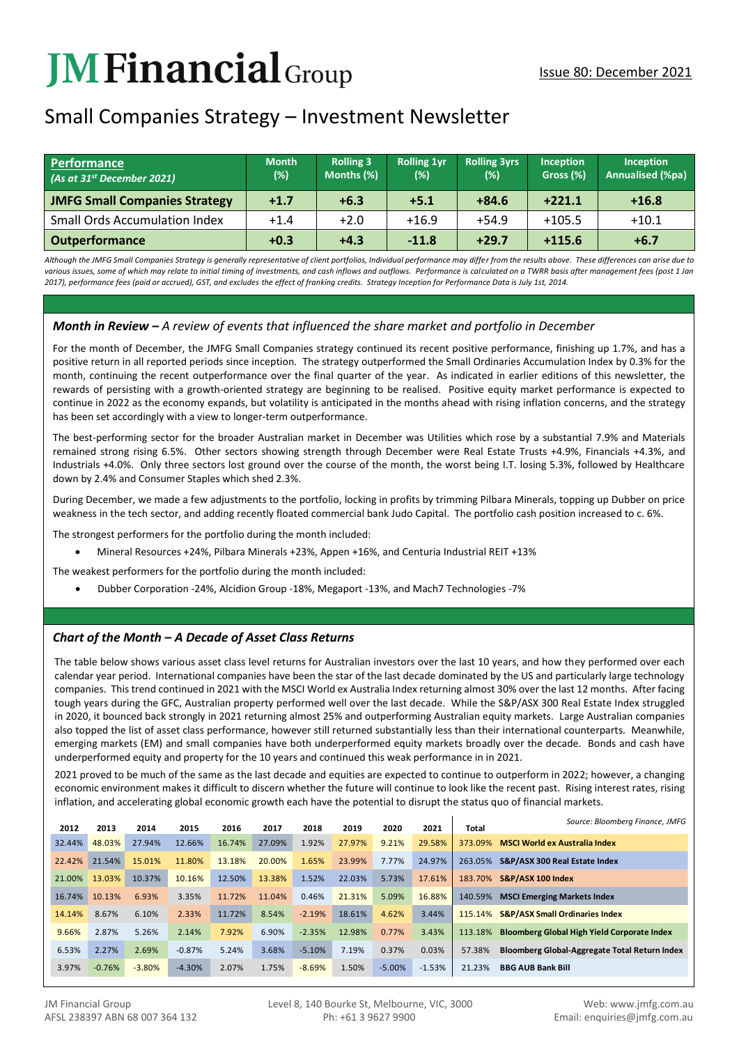# **JMFinancial**Group

# Small Companies Strategy – Investment Newsletter

| Performance<br>$(As$ at 31st December 2021) | <b>Month</b><br>(%) | <b>Rolling 3</b><br>Months (%) | <b>Rolling 1vr</b><br>(%) | <b>Rolling 3yrs</b><br>(%) | Inception<br>Gross (%) | <b>Inception</b><br><b>Annualised (%pa)</b> |  |
|---------------------------------------------|---------------------|--------------------------------|---------------------------|----------------------------|------------------------|---------------------------------------------|--|
| <b>JMFG Small Companies Strategy</b>        | $+1.7$              | $+6.3$                         | $+5.1$                    | $+84.6$                    | $+221.1$               | $+16.8$                                     |  |
| <b>Small Ords Accumulation Index</b>        | $+1.4$              | $+2.0$                         | $+16.9$                   | $+54.9$                    | $+105.5$               | $+10.1$                                     |  |
| <b>Outperformance</b>                       | $+0.3$              | $+4.3$                         | $-11.8$                   | $+29.7$                    | $+115.6$               | $+6.7$                                      |  |

*Although the JMFG Small Companies Strategy is generally representative of client portfolios, Individual performance may differ from the results above. These differences can arise due to*  various issues, some of which may relate to initial timing of investments, and cash inflows and outflows. Performance is calculated on a TWRR basis after management fees (post 1 Jan *2017), performance fees (paid or accrued), GST, and excludes the effect of franking credits. Strategy Inception for Performance Data is July 1st, 2014.*

# *Month in Review – A review of events that influenced the share market and portfolio in December*

For the month of December, the JMFG Small Companies strategy continued its recent positive performance, finishing up 1.7%, and has a positive return in all reported periods since inception. The strategy outperformed the Small Ordinaries Accumulation Index by 0.3% for the month, continuing the recent outperformance over the final quarter of the year. As indicated in earlier editions of this newsletter, the rewards of persisting with a growth-oriented strategy are beginning to be realised. Positive equity market performance is expected to continue in 2022 as the economy expands, but volatility is anticipated in the months ahead with rising inflation concerns, and the strategy has been set accordingly with a view to longer-term outperformance.

The best-performing sector for the broader Australian market in December was Utilities which rose by a substantial 7.9% and Materials remained strong rising 6.5%. Other sectors showing strength through December were Real Estate Trusts +4.9%, Financials +4.3%, and Industrials +4.0%. Only three sectors lost ground over the course of the month, the worst being I.T. losing 5.3%, followed by Healthcare down by 2.4% and Consumer Staples which shed 2.3%.

During December, we made a few adjustments to the portfolio, locking in profits by trimming Pilbara Minerals, topping up Dubber on price weakness in the tech sector, and adding recently floated commercial bank Judo Capital. The portfolio cash position increased to c. 6%.

The strongest performers for the portfolio during the month included:

• Mineral Resources +24%, Pilbara Minerals +23%, Appen +16%, and Centuria Industrial REIT +13%

The weakest performers for the portfolio during the month included:

• Dubber Corporation -24%, Alcidion Group -18%, Megaport -13%, and Mach7 Technologies -7%

## *Chart of the Month – A Decade of Asset Class Returns*

The table below shows various asset class level returns for Australian investors over the last 10 years, and how they performed over each calendar year period. International companies have been the star of the last decade dominated by the US and particularly large technology companies. This trend continued in 2021 with the MSCI World ex Australia Index returning almost 30% over the last 12 months. After facing tough years during the GFC, Australian property performed well over the last decade. While the S&P/ASX 300 Real Estate Index struggled in 2020, it bounced back strongly in 2021 returning almost 25% and outperforming Australian equity markets. Large Australian companies also topped the list of asset class performance, however still returned substantially less than their international counterparts. Meanwhile, emerging markets (EM) and small companies have both underperformed equity markets broadly over the decade. Bonds and cash have underperformed equity and property for the 10 years and continued this weak performance in in 2021.

2021 proved to be much of the same as the last decade and equities are expected to continue to outperform in 2022; however, a changing economic environment makes it difficult to discern whether the future will continue to look like the recent past. Rising interest rates, rising inflation, and accelerating global economic growth each have the potential to disrupt the status quo of financial markets.

| 2012   | 2013     | 2014     | 2015     | 2016   | 2017   | 2018     | 2019   | 2020     | 2021     | Total   | Source: Bloomberg Finance, JMFG                    |
|--------|----------|----------|----------|--------|--------|----------|--------|----------|----------|---------|----------------------------------------------------|
| 32.44% | 48.03%   | 27.94%   | 12.66%   | 16.74% | 27.09% | 1.92%    | 27.97% | 9.21%    | 29.58%   | 373.09% | <b>MSCI World ex Australia Index</b>               |
| 22.42% | 21.54%   | 15.01%   | 11.80%   | 13.18% | 20.00% | 1.65%    | 23.99% | 7.77%    | 24.97%   | 263.05% | S&P/ASX 300 Real Estate Index                      |
| 21.00% | 13.03%   | 10.37%   | 10.16%   | 12.50% | 13.38% | 1.52%    | 22.03% | 5.73%    | 17.61%   | 183.70% | S&P/ASX 100 Index                                  |
| 16.74% | 10.13%   | 6.93%    | 3.35%    | 11.72% | 11.04% | 0.46%    | 21.31% | 5.09%    | 16.88%   | 140.59% | <b>MSCI Emerging Markets Index</b>                 |
| 14.14% | 8.67%    | 6.10%    | 2.33%    | 11.72% | 8.54%  | $-2.19%$ | 18.61% | 4.62%    | 3.44%    | 115.14% | <b>S&amp;P/ASX Small Ordinaries Index</b>          |
| 9.66%  | 2.87%    | 5.26%    | 2.14%    | 7.92%  | 6.90%  | $-2.35%$ | 12.98% | 0.77%    | 3.43%    | 113.18% | <b>Bloomberg Global High Yield Corporate Index</b> |
| 6.53%  | 2.27%    | 2.69%    | $-0.87%$ | 5.24%  | 3.68%  | $-5.10%$ | 7.19%  | 0.37%    | 0.03%    | 57.38%  | Bloomberg Global-Aggregate Total Return Index      |
| 3.97%  | $-0.76%$ | $-3.80%$ | $-4.30%$ | 2.07%  | 1.75%  | $-8.69%$ | 1.50%  | $-5.00%$ | $-1.53%$ | 21.23%  | <b>BBG AUB Bank Bill</b>                           |